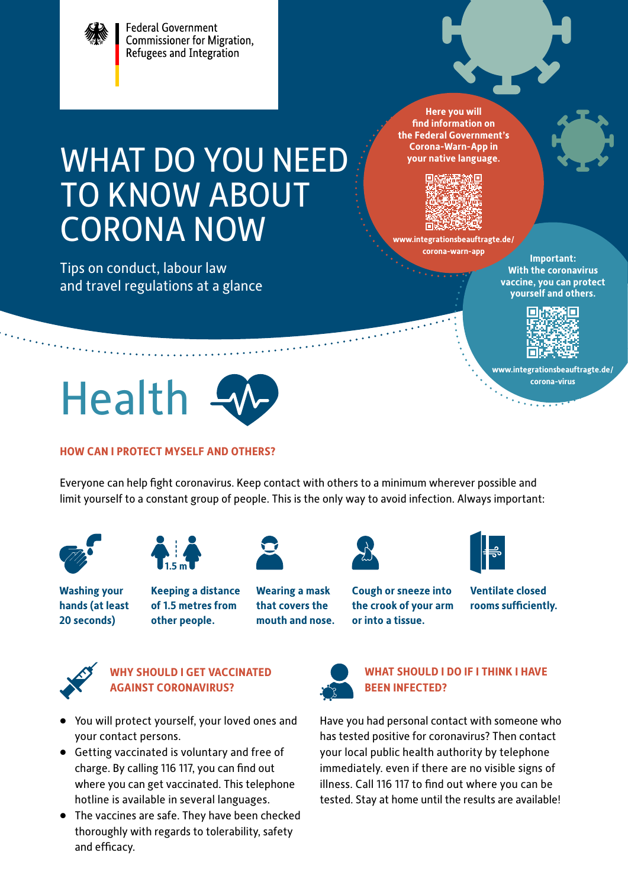

#### **[www.integrationsbeauftragte.de/](http://www.integrationsbeauftragte.de/corona-virus) [corona-virus](http://www.integrationsbeauftragte.de/corona-virus)**



#### **HOW CAN I PROTECT MYSELF AND OTHERS?**

Everyone can help fight coronavirus. Keep contact with others to a minimum wherever possible and limit yourself to a constant group of people. This is the only way to avoid infection. Always important:

> **Wearing a mask that covers the mouth and nose.**





**Washing your hands (at least 20 seconds)** 

**Keeping a distance of 1.5 metres from other people.**





**Cough or sneeze into the crook of your arm or into a tissue.**

**Ventilate closed rooms sufficiently.**



#### **WHY SHOULD I GET VACCINATED AGAINST CORONAVIRUS?**

- You will protect yourself, your loved ones and your contact persons.
- Getting vaccinated is voluntary and free of charge. By calling 116 117, you can find out where you can get vaccinated. This telephone hotline is available in several languages.
- The vaccines are safe. They have been checked thoroughly with regards to tolerability, safety and efficacy.



#### **WHAT SHOULD I DO IF I THINK I HAVE BEEN INFECTED?**

Have you had personal contact with someone who has tested positive for coronavirus? Then contact your local public health authority by telephone immediately. even if there are no visible signs of illness. Call 116 117 to find out where you can be tested. Stay at home until the results are available!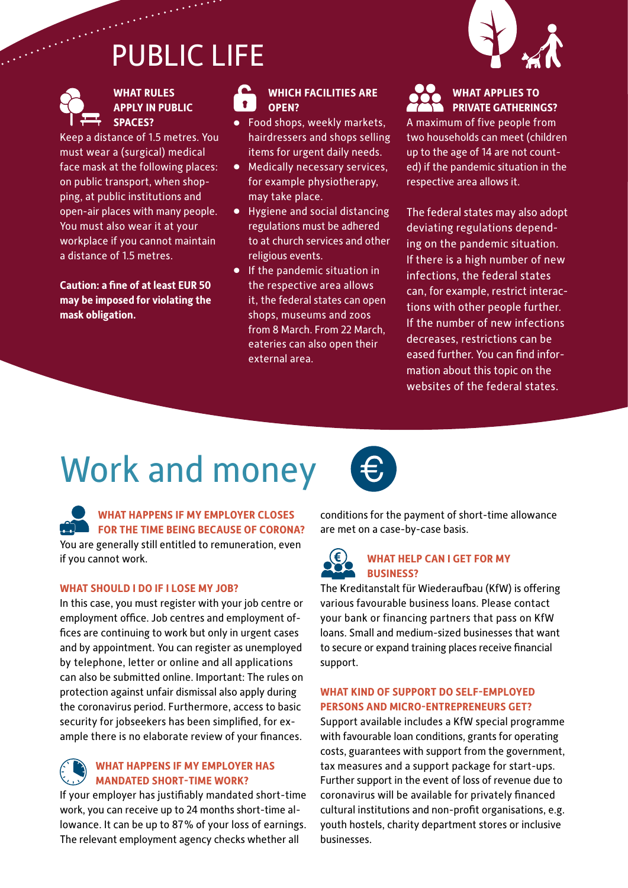# PUBLIC LIFE



#### **WHAT RULES APPLY IN PUBLIC SPACES?**

Keep a distance of 1.5 metres. You must wear a (surgical) medical face mask at the following places: on public transport, when shopping, at public institutions and open-air places with many people. You must also wear it at your workplace if you cannot maintain a distance of 1.5 metres.

**Caution: a fine of at least EUR 50 may be imposed for violating the mask obligation.**

#### **WHICH FACILITIES ARE OPEN?**

- Food shops, weekly markets, hairdressers and shops selling items for urgent daily needs.
- Medically necessary services, for example physiotherapy, may take place.
- Hygiene and social distancing regulations must be adhered to at church services and other religious events.
- If the pandemic situation in the respective area allows it, the federal states can open shops, museums and zoos from 8 March. From 22 March, eateries can also open their external area.



#### **WHAT APPLIES TO PRIVATE GATHERINGS?**

A maximum of five people from two households can meet (children up to the age of 14 are not counted) if the pandemic situation in the respective area allows it.

The federal states may also adopt deviating regulations depending on the pandemic situation. If there is a high number of new infections, the federal states can, for example, restrict interactions with other people further. If the number of new infections decreases, restrictions can be eased further. You can find information about this topic on the websites of the federal states.

## Work and money

**WHAT HAPPENS IF MY EMPLOYER CLOSES FOR THE TIME BEING BECAUSE OF CORONA?** You are generally still entitled to remuneration, even if you cannot work.

#### **WHAT SHOULD I DO IF I LOSE MY JOB?**

In this case, you must register with your job centre or employment office. Job centres and employment offices are continuing to work but only in urgent cases and by appointment. You can register as unemployed by telephone, letter or online and all applications can also be submitted online. Important: The rules on protection against unfair dismissal also apply during the coronavirus period. Furthermore, access to basic security for jobseekers has been simplified, for example there is no elaborate review of your finances.

#### **WHAT HAPPENS IF MY EMPLOYER HAS MANDATED SHORT-TIME WORK?**

If your employer has justifiably mandated short-time work, you can receive up to 24 months short-time allowance. It can be up to 87% of your loss of earnings. The relevant employment agency checks whether all



conditions for the payment of short-time allowance are met on a case-by-case basis.

#### ∈ **WHAT HELP CAN I GET FOR MY BUSINESS?**

The Kreditanstalt für Wiederaufbau (KfW) is offering various favourable business loans. Please contact your bank or financing partners that pass on KfW loans. Small and medium-sized businesses that want to secure or expand training places receive financial support.

#### **WHAT KIND OF SUPPORT DO SELF-EMPLOYED PERSONS AND MICRO-ENTREPRENEURS GET?**

Support available includes a KfW special programme with favourable loan conditions, grants for operating costs, guarantees with support from the government, tax measures and a support package for start-ups. Further support in the event of loss of revenue due to coronavirus will be available for privately financed cultural institutions and non-profit organisations, e.g. youth hostels, charity department stores or inclusive businesses.